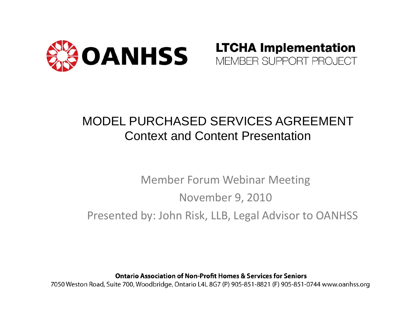

#### **LTCHA Implementation** MEMBER SUPPORT PROJECT

#### MODEL PURCHASED SERVICES AGREEMENTContext and Content Presentation

### Member Forum Webinar Meeting November 9, 2010 Presented by: John Risk, LLB, Legal Advisor to OANHSS

**Ontario Association of Non-Profit Homes & Services for Seniors** 7050 Weston Road, Suite 700, Woodbridge, Ontario L4L 8G7 (P) 905-851-8821 (F) 905-851-0744 www.oanhss.org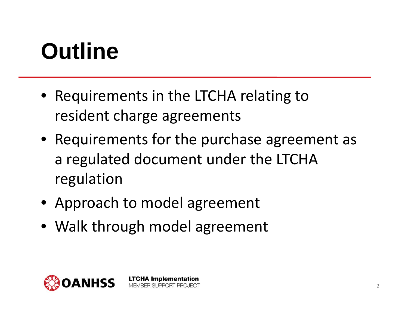### **Outline**

- Requirements in the LTCHA relating to resident charge agreements
- Requirements for the purchase agreement as a regulated document under the LTCHA regulation
- Approach to model agreement
- Walk through model agreement

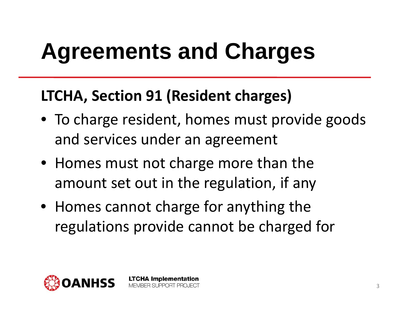### **LTCHA , Section 91 (Resident charges)**

- To charge resident, homes must provide goods and services under an agreement
- Homes must not charge more than the amount set out in the regulation, if any
- Homes cannot charge for anything the regulations provide cannot be charged for

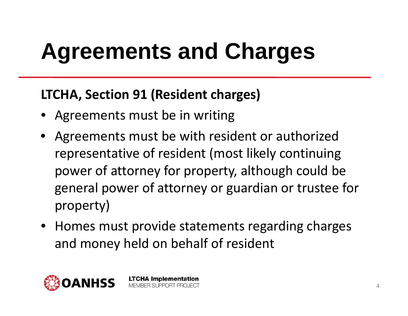### **LTCHA, Section 91 (Resident charges)**

- Agreements must be in writing
- • Agreements must be with resident or authorized representative of resident (most likely continuing power of attorney for property, although could be general power of attorney or guardian or trustee for property)
- Homes must provide statements regarding charges and money held on behalf of resident

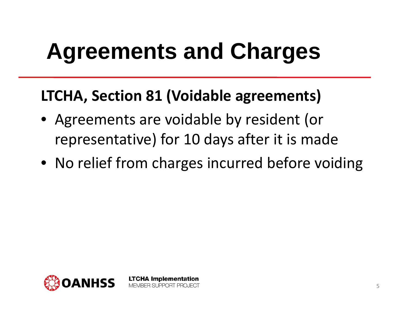### **LTCHA , Section 81 (Voidable agreements)**

- Agreements are voidable by resident (or representative) for 10 days after it is made
- No relief from charges incurred before voiding

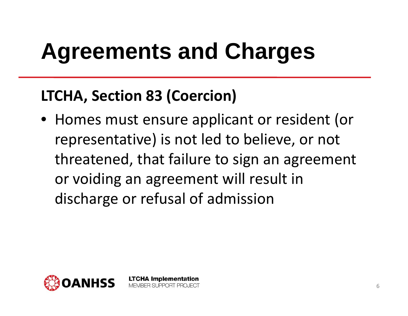### **LTCHA , Section 83 (Coercion)**

• Homes must ensure applicant or resident (or representative) is not led to believe, or not threatened, that failure to sign an agreement or voiding an agreement will result in discharge or refusal of admission

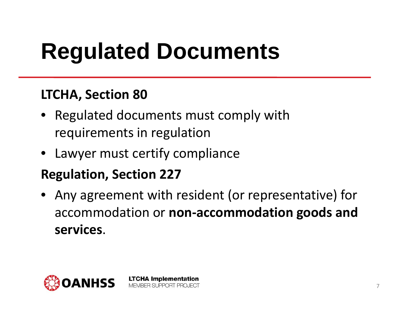# **Regulated Documents**

### **LTCHA, Section 80**

- Regulated documents must comply with re quirements in re gulation
- Lawyer must certify compliance

### **Regulation, Section 227**

• Any agreement with resident (or representative) for accommodation or **non ‐accommodation goods and services**.

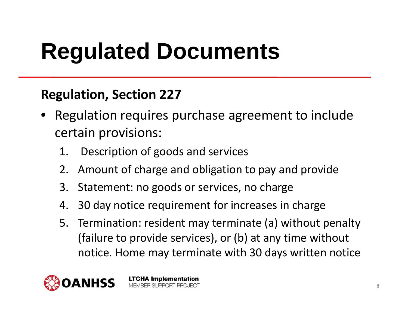# **Regulated Documents**

### **Regulation, Section 227**

- • Regulation requires purchase agreement to include certain provisions:
	- 1. Description of goods and services
	- 2. Amount of charge and obligation to pay and provide
	- 3. Statement: no goods or services, no charge
	- 4. 30 day notice requirement for increases in charge
	- 5. Termination: resident may terminate (a) without penalty (failure to provide services), or (b) at any time without notice. Home ma y terminate with 30 da y s written notice



**LTCHA Implementation** MEMBER SUPPORT PROJECT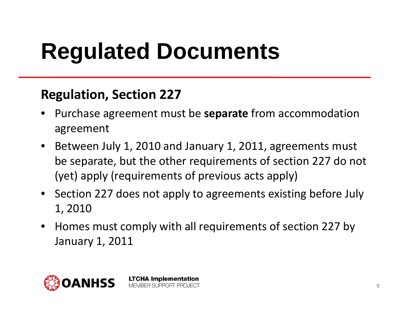## **Regulated Documents**

### **Regulation, Section 227**

- • Purchase agreement must be **separate** from accommodation agreement
- $\bullet$  Between July 1, 2010 and January 1, 2011, agreements must be separate, but the other requirements of section 227 do not (yet) apply (requirements of previous acts apply)
- Section 227 does not apply to agreements existing before July 1, 2010
- $\bullet$  Homes must comply with all requirements of section 227 by January 1, 2011



**LTCHA Implementation** MEMBER SUPPORT PROJECT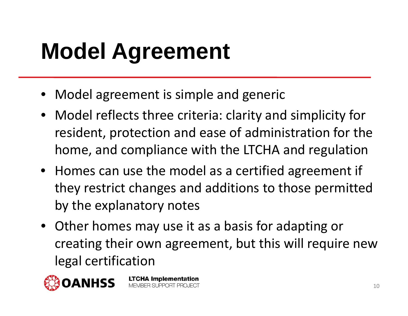## **Model Agreement**

- Model agreement is simple and generic
- Model reflects three criteria: clarity and simplicity for resident, protection and ease of administration for the home, and compliance with the LTCHA and regulation
- Homes can use the model as a certified a greement if they restrict changes and additions to those permitted by the explanatory notes
- Other homes may use it as a basis for adapting or creating their own agreement, but this will require new legal certification



**LTCHA Implementation** MEMBER SUPPORT PROJECT